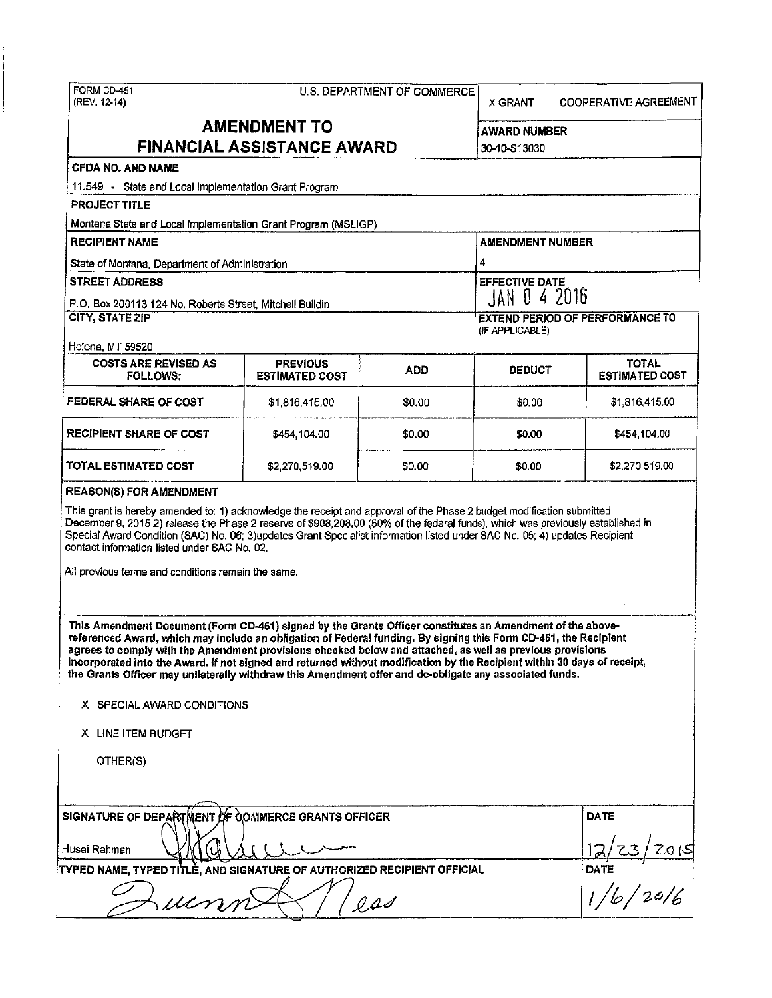| FORM CD-451<br>(REV. 12-14)                                                                                                                                                                                                                                                                                                                                                                                                                                                                                                                                                       | <b>U.S. DEPARTMENT OF COMMERCE</b>       |                  | X GRANT                                                   | <b>COOPERATIVE AGREEMENT</b>          |  |  |  |  |
|-----------------------------------------------------------------------------------------------------------------------------------------------------------------------------------------------------------------------------------------------------------------------------------------------------------------------------------------------------------------------------------------------------------------------------------------------------------------------------------------------------------------------------------------------------------------------------------|------------------------------------------|------------------|-----------------------------------------------------------|---------------------------------------|--|--|--|--|
| <b>AMENDMENT TO</b><br><b>FINANCIAL ASSISTANCE AWARD</b>                                                                                                                                                                                                                                                                                                                                                                                                                                                                                                                          |                                          |                  | AWARD NUMBER<br>30-10-S13030                              |                                       |  |  |  |  |
| CFDA NO. AND NAME                                                                                                                                                                                                                                                                                                                                                                                                                                                                                                                                                                 |                                          |                  |                                                           |                                       |  |  |  |  |
| 11.549 - State and Local Implementation Grant Program                                                                                                                                                                                                                                                                                                                                                                                                                                                                                                                             |                                          |                  |                                                           |                                       |  |  |  |  |
| <b>PROJECT TITLE</b>                                                                                                                                                                                                                                                                                                                                                                                                                                                                                                                                                              |                                          |                  |                                                           |                                       |  |  |  |  |
| Montana State and Local Implementation Grant Program (MSLIGP)                                                                                                                                                                                                                                                                                                                                                                                                                                                                                                                     |                                          |                  |                                                           |                                       |  |  |  |  |
| <b>RECIPIENT NAME</b>                                                                                                                                                                                                                                                                                                                                                                                                                                                                                                                                                             |                                          |                  | <b>AMENDMENT NUMBER</b>                                   |                                       |  |  |  |  |
| State of Montana, Department of Administration                                                                                                                                                                                                                                                                                                                                                                                                                                                                                                                                    |                                          |                  | 4                                                         |                                       |  |  |  |  |
| <b>STREET ADDRESS</b>                                                                                                                                                                                                                                                                                                                                                                                                                                                                                                                                                             |                                          |                  | <b>EFFECTIVE DATE</b>                                     |                                       |  |  |  |  |
| P.O. Box 200113 124 No. Roberts Street, Mitchell Buildin                                                                                                                                                                                                                                                                                                                                                                                                                                                                                                                          |                                          |                  | JAN 0 4 2016                                              |                                       |  |  |  |  |
| CITY, STATE ZIP<br>Helena, MT 59520                                                                                                                                                                                                                                                                                                                                                                                                                                                                                                                                               |                                          |                  | <b>EXTEND PERIOD OF PERFORMANCE TO</b><br>(IF APPLICABLE) |                                       |  |  |  |  |
| <b>COSTS ARE REVISED AS</b><br><b>FOLLOWS:</b>                                                                                                                                                                                                                                                                                                                                                                                                                                                                                                                                    | <b>PREVIOUS</b><br><b>ESTIMATED COST</b> | ADD              | <b>DEBUCT</b>                                             | <b>TOTAL</b><br><b>ESTIMATED COST</b> |  |  |  |  |
| FEDERAL SHARE OF COST                                                                                                                                                                                                                                                                                                                                                                                                                                                                                                                                                             | \$1,816,415.00                           | \$0.00           | \$0.00                                                    | \$1,816,415.00                        |  |  |  |  |
| RECIPIENT SHARE OF COST                                                                                                                                                                                                                                                                                                                                                                                                                                                                                                                                                           | \$454,104.00                             | \$0.00           | \$0.00                                                    | \$454,104.00                          |  |  |  |  |
| TOTAL ESTIMATED COST                                                                                                                                                                                                                                                                                                                                                                                                                                                                                                                                                              | \$2,270,519.00                           | \$0.00           | \$0.00                                                    | \$2,270,519.00                        |  |  |  |  |
| Special Award Condition (SAC) No. 06; 3)updates Grant Specialist information listed under SAC No. 05; 4) updates Recipient<br>contact information listed under SAC No. 02.<br>All previous terms and conditions remain the same.                                                                                                                                                                                                                                                                                                                                                  |                                          |                  |                                                           |                                       |  |  |  |  |
| This Amendment Document (Form CD-451) signed by the Grants Officer constitutes an Amendment of the above-<br>referenced Award, which may include an obligation of Federal funding. By signing this Form CD-451, the Recipient<br>agrees to comply with the Amendment provisions checked below and attached, as well as previous provisions<br>incorporated into the Award. If not signed and returned without modification by the Recipient within 30 days of receipt,<br>the Grants Officer may unilaterally withdraw this Amendment offer and de-obligate any associated funds. |                                          |                  |                                                           |                                       |  |  |  |  |
| X SPECIAL AWARD CONDITIONS                                                                                                                                                                                                                                                                                                                                                                                                                                                                                                                                                        |                                          |                  |                                                           |                                       |  |  |  |  |
| X LINE ITEM BUDGET                                                                                                                                                                                                                                                                                                                                                                                                                                                                                                                                                                |                                          |                  |                                                           |                                       |  |  |  |  |
| OTHER(S)                                                                                                                                                                                                                                                                                                                                                                                                                                                                                                                                                                          |                                          |                  |                                                           |                                       |  |  |  |  |
| SIGNATURE OF DEPARTMENT OF COMMERCE GRANTS OFFICER                                                                                                                                                                                                                                                                                                                                                                                                                                                                                                                                | <b>DATE</b>                              |                  |                                                           |                                       |  |  |  |  |
| Husai Rahman                                                                                                                                                                                                                                                                                                                                                                                                                                                                                                                                                                      | <u> 2015</u>                             |                  |                                                           |                                       |  |  |  |  |
| TYPED NAME, TYPED TITLE, AND SIGNATURE OF AUTHORIZED RECIPIENT OFFICIAL<br>$\mu$                                                                                                                                                                                                                                                                                                                                                                                                                                                                                                  | DATE<br>DATE<br>1/6/20/6                 |                  |                                                           |                                       |  |  |  |  |
|                                                                                                                                                                                                                                                                                                                                                                                                                                                                                                                                                                                   |                                          | $0\,\mu\text{J}$ |                                                           |                                       |  |  |  |  |